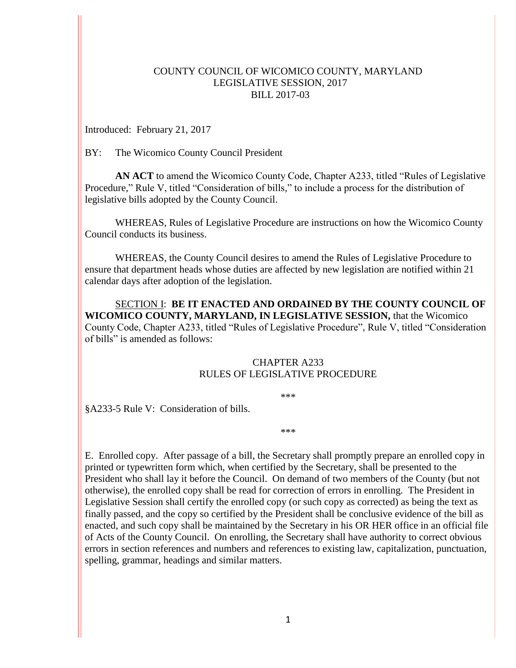## COUNTY COUNCIL OF WICOMICO COUNTY, MARYLAND LEGISLATIVE SESSION, 2017 BILL 2017-03

Introduced: February 21, 2017

BY: The Wicomico County Council President

**AN ACT** to amend the Wicomico County Code, Chapter A233, titled "Rules of Legislative Procedure," Rule V, titled "Consideration of bills," to include a process for the distribution of legislative bills adopted by the County Council.

WHEREAS, Rules of Legislative Procedure are instructions on how the Wicomico County Council conducts its business.

WHEREAS, the County Council desires to amend the Rules of Legislative Procedure to ensure that department heads whose duties are affected by new legislation are notified within 21 calendar days after adoption of the legislation.

SECTION I: **BE IT ENACTED AND ORDAINED BY THE COUNTY COUNCIL OF WICOMICO COUNTY, MARYLAND, IN LEGISLATIVE SESSION,** that the Wicomico County Code, Chapter A233, titled "Rules of Legislative Procedure", Rule V, titled "Consideration of bills" is amended as follows:

## CHAPTER A233 RULES OF LEGISLATIVE PROCEDURE

\*\*\*

§A233-5 Rule V: Consideration of bills.

\*\*\*

E. Enrolled copy. After passage of a bill, the Secretary shall promptly prepare an enrolled copy in printed or typewritten form which, when certified by the Secretary, shall be presented to the President who shall lay it before the Council. On demand of two members of the County (but not otherwise), the enrolled copy shall be read for correction of errors in enrolling. The President in Legislative Session shall certify the enrolled copy (or such copy as corrected) as being the text as finally passed, and the copy so certified by the President shall be conclusive evidence of the bill as enacted, and such copy shall be maintained by the Secretary in his OR HER office in an official file of Acts of the County Council. On enrolling, the Secretary shall have authority to correct obvious errors in section references and numbers and references to existing law, capitalization, punctuation, spelling, grammar, headings and similar matters.